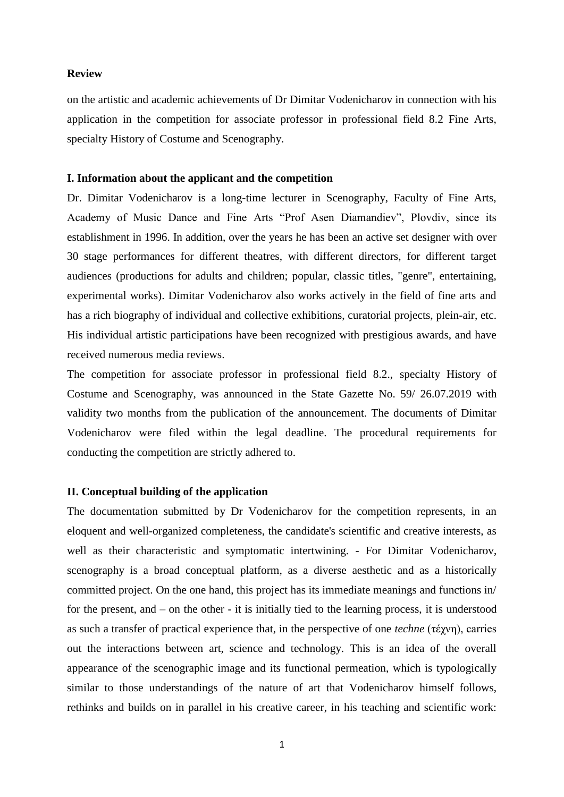## **Review**

on the artistic and academic achievements of Dr Dimitar Vodenicharov in connection with his application in the competition for associate professor in professional field 8.2 Fine Arts, specialty History of Costume and Scenography.

## **I. Information about the applicant and the competition**

Dr. Dimitar Vodenicharov is a long-time lecturer in Scenography, Faculty of Fine Arts, Academy of Music Dance and Fine Arts "Prof Asen Diamandiev", Plovdiv, since its establishment in 1996. In addition, over the years he has been an active set designer with over 30 stage performances for different theatres, with different directors, for different target audiences (productions for adults and children; popular, classic titles, "genre", entertaining, experimental works). Dimitar Vodenicharov also works actively in the field of fine arts and has a rich biography of individual and collective exhibitions, curatorial projects, plein-air, etc. His individual artistic participations have been recognized with prestigious awards, and have received numerous media reviews.

The competition for associate professor in professional field 8.2., specialty History of Costume and Scenography, was announced in the State Gazette No. 59/ 26.07.2019 with validity two months from the publication of the announcement. The documents of Dimitar Vodenicharov were filed within the legal deadline. The procedural requirements for conducting the competition are strictly adhered to.

## **II. Conceptual building of the application**

The documentation submitted by Dr Vodenicharov for the competition represents, in an eloquent and well-organized completeness, the candidate's scientific and creative interests, as well as their characteristic and symptomatic intertwining. - For Dimitar Vodenicharov, scenography is a broad conceptual platform, as a diverse aesthetic and as a historically committed project. On the one hand, this project has its immediate meanings and functions in/ for the present, and – on the other - it is initially tied to the learning process, it is understood as such a transfer of practical experience that, in the perspective of one *techne* (τέχνη), carries out the interactions between art, science and technology. This is an idea of the overall appearance of the scenographic image and its functional permeation, which is typologically similar to those understandings of the nature of art that Vodenicharov himself follows, rethinks and builds on in parallel in his creative career, in his teaching and scientific work: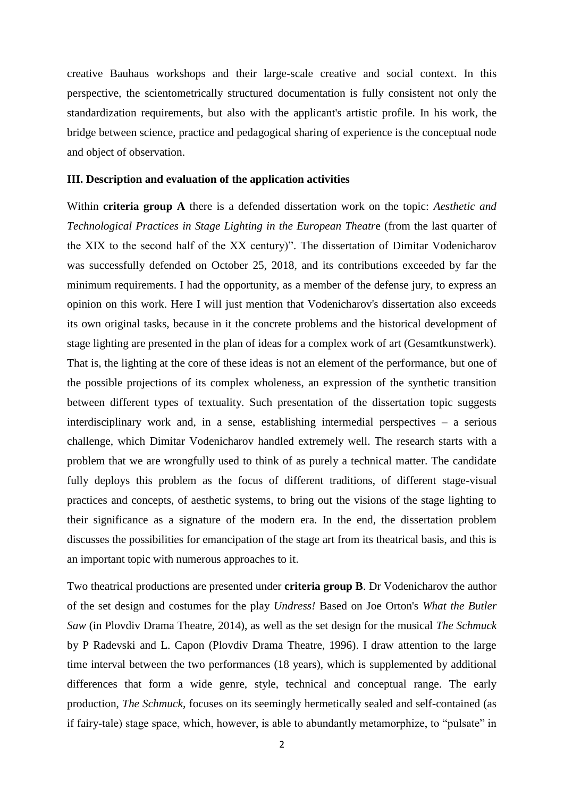creative Bauhaus workshops and their large-scale creative and social context. In this perspective, the scientometrically structured documentation is fully consistent not only the standardization requirements, but also with the applicant's artistic profile. In his work, the bridge between science, practice and pedagogical sharing of experience is the conceptual node and object of observation.

## **III. Description and evaluation of the application activities**

Within **criteria group A** there is a defended dissertation work on the topic: *Aesthetic and Technological Practices in Stage Lighting in the European Theatr*e (from the last quarter of the XIX to the second half of the XX century)". The dissertation of Dimitar Vodenicharov was successfully defended on October 25, 2018, and its contributions exceeded by far the minimum requirements. I had the opportunity, as a member of the defense jury, to express an opinion on this work. Here I will just mention that Vodenicharov's dissertation also exceeds its own original tasks, because in it the concrete problems and the historical development of stage lighting are presented in the plan of ideas for a complex work of art (Gesamtkunstwerk). That is, the lighting at the core of these ideas is not an element of the performance, but one of the possible projections of its complex wholeness, an expression of the synthetic transition between different types of textuality. Such presentation of the dissertation topic suggests interdisciplinary work and, in a sense, establishing intermedial perspectives – a serious challenge, which Dimitar Vodenicharov handled extremely well. The research starts with a problem that we are wrongfully used to think of as purely a technical matter. The candidate fully deploys this problem as the focus of different traditions, of different stage-visual practices and concepts, of aesthetic systems, to bring out the visions of the stage lighting to their significance as a signature of the modern era. In the end, the dissertation problem discusses the possibilities for emancipation of the stage art from its theatrical basis, and this is an important topic with numerous approaches to it.

Two theatrical productions are presented under **criteria group B**. Dr Vodenicharov the author of the set design and costumes for the play *Undress!* Based on Joe Orton's *What the Butler Saw* (in Plovdiv Drama Theatre, 2014), as well as the set design for the musical *The Schmuck* by P Radevski and L. Capon (Plovdiv Drama Theatre, 1996). I draw attention to the large time interval between the two performances (18 years), which is supplemented by additional differences that form a wide genre, style, technical and conceptual range. The early production, *The Schmuck,* focuses on its seemingly hermetically sealed and self-contained (as if fairy-tale) stage space, which, however, is able to abundantly metamorphize, to "pulsate" in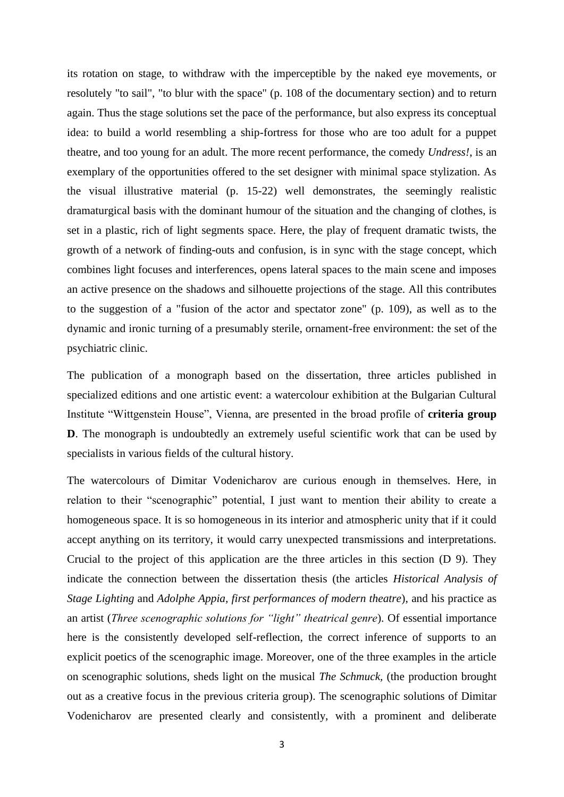its rotation on stage, to withdraw with the imperceptible by the naked eye movements, or resolutely "to sail", "to blur with the space" (p. 108 of the documentary section) and to return again. Thus the stage solutions set the pace of the performance, but also express its conceptual idea: to build a world resembling a ship-fortress for those who are too adult for a puppet theatre, and too young for an adult. The more recent performance, the comedy *Undress!*, is an exemplary of the opportunities offered to the set designer with minimal space stylization. As the visual illustrative material (p. 15-22) well demonstrates, the seemingly realistic dramaturgical basis with the dominant humour of the situation and the changing of clothes, is set in a plastic, rich of light segments space. Here, the play of frequent dramatic twists, the growth of a network of finding-outs and confusion, is in sync with the stage concept, which combines light focuses and interferences, opens lateral spaces to the main scene and imposes an active presence on the shadows and silhouette projections of the stage. All this contributes to the suggestion of a "fusion of the actor and spectator zone" (p. 109), as well as to the dynamic and ironic turning of a presumably sterile, ornament-free environment: the set of the psychiatric clinic.

The publication of a monograph based on the dissertation, three articles published in specialized editions and one artistic event: a watercolour exhibition at the Bulgarian Cultural Institute "Wittgenstein House", Vienna, are presented in the broad profile of **criteria group D**. The monograph is undoubtedly an extremely useful scientific work that can be used by specialists in various fields of the cultural history.

The watercolours of Dimitar Vodenicharov are curious enough in themselves. Here, in relation to their "scenographic" potential, I just want to mention their ability to create a homogeneous space. It is so homogeneous in its interior and atmospheric unity that if it could accept anything on its territory, it would carry unexpected transmissions and interpretations. Crucial to the project of this application are the three articles in this section (D 9). They indicate the connection between the dissertation thesis (the articles *Historical Analysis of Stage Lighting* and *Adolphe Appia, first performances of modern theatre*), and his practice as an artist (*Three scenographic solutions for "light" theatrical genre*). Of essential importance here is the consistently developed self-reflection, the correct inference of supports to an explicit poetics of the scenographic image. Moreover, one of the three examples in the article on scenographic solutions, sheds light on the musical *The Schmuck,* (the production brought out as a creative focus in the previous criteria group). The scenographic solutions of Dimitar Vodenicharov are presented clearly and consistently, with a prominent and deliberate